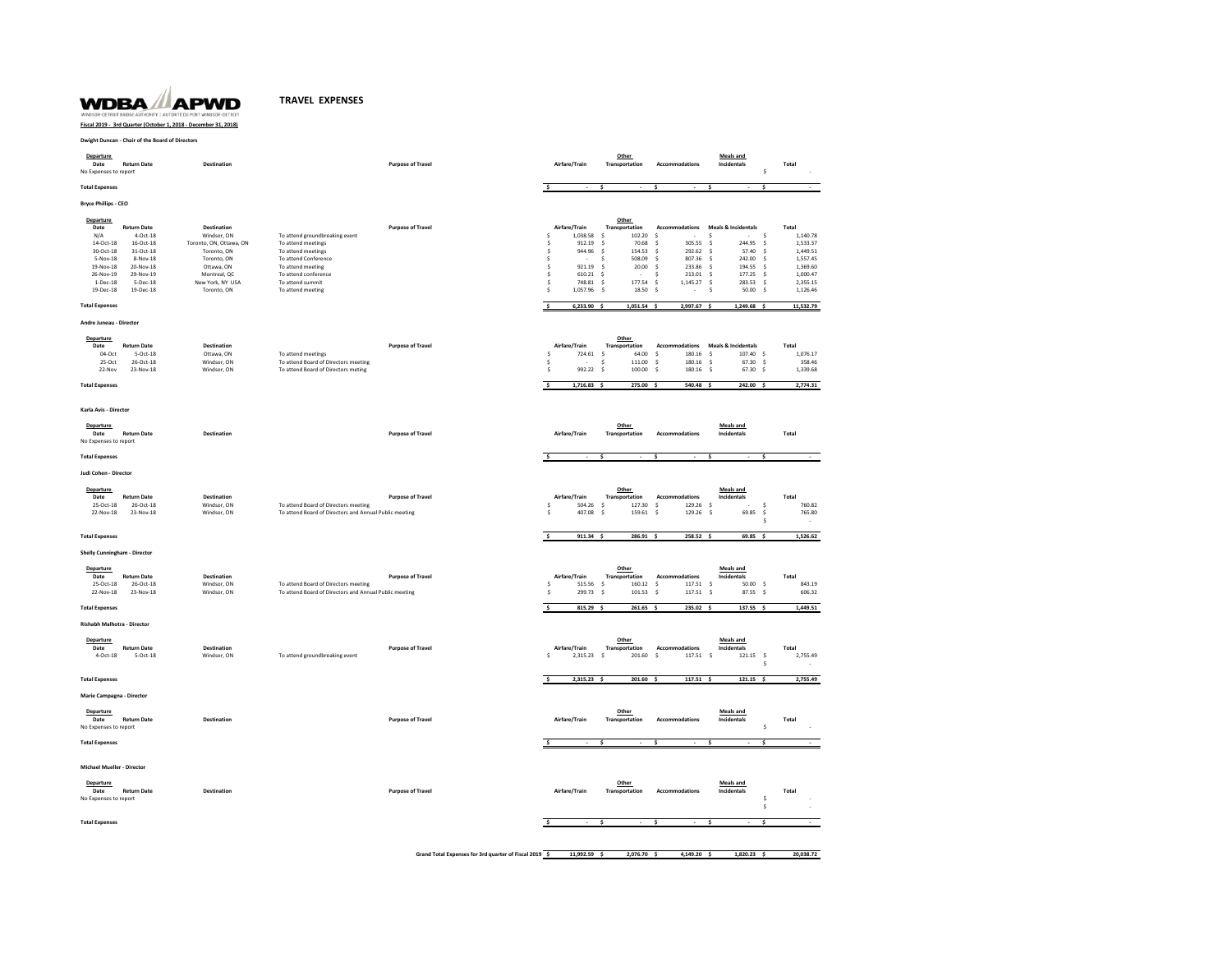## **WDBA** APWD  $Y \mid AU$

## **TRAVEL EXPENSES**

## **Fiscal 2019 - 3rd Quarter (October 1, 2018 - December 31, 2018)**

**Dwight Duncan - Chair of the Board of Directors**

| Departure<br>Date<br>No Expenses to report                                                                                           | <b>Return Date</b>                                                                                                        | <b>Destination</b>                                                                                                                                          |                                                                                                                                                                                          | <b>Purpose of Travel</b>                               | Airfare/Train                                                                                                                                                              | Other<br>Transportation                                                                                                                                      | Accommodations                                                                                                                                  | <b>Meals and</b><br>Incidentals<br>\$                                                                                                                                                                                                                                    | Total                                                                                                 |
|--------------------------------------------------------------------------------------------------------------------------------------|---------------------------------------------------------------------------------------------------------------------------|-------------------------------------------------------------------------------------------------------------------------------------------------------------|------------------------------------------------------------------------------------------------------------------------------------------------------------------------------------------|--------------------------------------------------------|----------------------------------------------------------------------------------------------------------------------------------------------------------------------------|--------------------------------------------------------------------------------------------------------------------------------------------------------------|-------------------------------------------------------------------------------------------------------------------------------------------------|--------------------------------------------------------------------------------------------------------------------------------------------------------------------------------------------------------------------------------------------------------------------------|-------------------------------------------------------------------------------------------------------|
| <b>Total Expenses</b>                                                                                                                |                                                                                                                           |                                                                                                                                                             |                                                                                                                                                                                          |                                                        | \$                                                                                                                                                                         | s                                                                                                                                                            | ÷.                                                                                                                                              | <b>s</b><br>\$.                                                                                                                                                                                                                                                          |                                                                                                       |
| <b>Bryce Phillips - CEO</b>                                                                                                          |                                                                                                                           |                                                                                                                                                             |                                                                                                                                                                                          |                                                        |                                                                                                                                                                            |                                                                                                                                                              |                                                                                                                                                 |                                                                                                                                                                                                                                                                          |                                                                                                       |
| <b>Departure</b><br>Date<br>N/A<br>$14$ -Oct-18 $\,$<br>30-Oct-18<br>5-Nov-18<br>19-Nov-18<br>26-Nov-19<br>$1 - Dec-18$<br>19-Dec-18 | <b>Return Date</b><br>4-Oct-18<br>16-Oct-18<br>31-Oct-18<br>8-Nov-18<br>20-Nov-18<br>29-Nov-19<br>$5-Dec-18$<br>19-Dec-18 | <b>Destination</b><br>Windsor, ON<br>Toronto, ON, Ottawa, ON<br>Toronto, ON<br>Toronto, ON<br>Ottawa, ON<br>Montreal, QC<br>New York, NY USA<br>Toronto, ON | To attend groundbreaking event<br>To attend meetings<br>To attend meetings<br>To attend Conference<br>To attend meeting<br>To attend conference<br>To attend summit<br>To attend meeting | <b>Purpose of Travel</b>                               | Airfare/Train<br>1.038.58<br>Ŝ<br>$\hat{\mathsf{s}}$<br>912.19<br>Ś<br>944.96<br><b>s</b><br>921.19<br>.s<br>610.21<br>Ś<br>748.81<br>Ś.<br>$\hat{\mathbf{S}}$<br>1,057.96 | Other<br>Transportation<br>102.20<br>s.<br>\$<br>70.68<br>ś<br>154.53<br>508.09<br><b>s</b><br>ŝ<br>20.00<br>\$<br>177.54<br>$\mathsf{s}$<br>$\leq$<br>18.50 | <b>Accommodations</b><br>- Ś<br>Ś.<br>305.55<br>Ś<br>292.62<br>807.36<br>-Ś<br>233.86<br>-Ś<br>213.01<br>1,145.27<br>- Ś<br>$\hat{\zeta}$<br>÷. | <b>Meals &amp; Incidentals</b><br>.s<br>- Ś<br>244.95<br><sup>s</sup><br>Ś.<br>57.40<br><sub>S</sub><br>242.00<br>$\dot{\mathsf{s}}$<br>- Ś<br>-S<br>194.55<br>$\dot{\mathsf{s}}$<br>-\$<br>177.25<br>$\dot{\mathsf{s}}$<br>283.53<br>- Ś<br>Ś.<br>\$<br>50.00<br>$\leq$ | Total<br>1.140.78<br>1,533.37<br>1,449.51<br>1,557.45<br>1,369.60<br>1,000.47<br>2,355.15<br>1,126.46 |
| <b>Total Expenses</b>                                                                                                                |                                                                                                                           |                                                                                                                                                             |                                                                                                                                                                                          |                                                        | $6,233.90$ \$<br>\$                                                                                                                                                        | $1,051.54$ \$                                                                                                                                                | 2,997.67 \$                                                                                                                                     | 1,249.68 \$                                                                                                                                                                                                                                                              | 11,532.79                                                                                             |
| Andre Juneau - Director                                                                                                              |                                                                                                                           |                                                                                                                                                             |                                                                                                                                                                                          |                                                        |                                                                                                                                                                            |                                                                                                                                                              |                                                                                                                                                 |                                                                                                                                                                                                                                                                          |                                                                                                       |
| Departure<br>Date<br>04-Oct<br>25-Oct<br>22-Nov<br><b>Total Expenses</b>                                                             | <b>Return Date</b><br>$S-Oct-18$<br>26-Oct-18<br>23-Nov-18                                                                | Destination<br>Ottawa, ON<br>Windsor, ON<br>Windsor, ON                                                                                                     | To attend meetings<br>To attend Board of Directors meeting<br>To attend Board of Directors meting                                                                                        | <b>Purpose of Travel</b>                               | Airfare/Train<br>Ś<br>724.61<br><b>s</b><br>÷.<br>$\hat{\mathsf{s}}$<br>992.22<br>$\overline{\mathsf{s}}$<br>$1,716.83$ \$                                                 | Other<br>Transportation<br>$\mathsf{S}\xspace$<br>64.00<br>$\hat{\mathbf{S}}$<br>111.00<br>-\$<br>100.00<br>275.00 \$                                        | Accommodations<br>180.16<br>\$<br>Ŝ.<br>180.16<br>180.16<br>Ś.<br>540.48 \$                                                                     | <b>Meals &amp; Incidentals</b><br>107.40 \$<br>s.<br>$\leq$<br>67.30<br>Ś<br>$\mathsf{S}$<br>67.30 \$<br>242.00 \$                                                                                                                                                       | Total<br>1,076.17<br>358.46<br>1,339.68<br>2,774.31                                                   |
| Karla Avis - Director                                                                                                                |                                                                                                                           |                                                                                                                                                             |                                                                                                                                                                                          |                                                        |                                                                                                                                                                            |                                                                                                                                                              |                                                                                                                                                 |                                                                                                                                                                                                                                                                          |                                                                                                       |
| Departure<br>Date<br>No Expenses to report                                                                                           | <b>Return Date</b>                                                                                                        | Destination                                                                                                                                                 |                                                                                                                                                                                          | <b>Purpose of Travel</b>                               | Airfare/Train                                                                                                                                                              | Other<br>Transportation                                                                                                                                      | Accommodations                                                                                                                                  | <b>Meals and</b><br>Incidentals                                                                                                                                                                                                                                          | Total                                                                                                 |
| <b>Total Expenses</b>                                                                                                                |                                                                                                                           |                                                                                                                                                             |                                                                                                                                                                                          |                                                        | \$<br>٠                                                                                                                                                                    | \$                                                                                                                                                           | Ŝ.<br>$\sim$                                                                                                                                    | ś<br>Ś                                                                                                                                                                                                                                                                   |                                                                                                       |
| Judi Cohen - Director                                                                                                                |                                                                                                                           |                                                                                                                                                             |                                                                                                                                                                                          |                                                        |                                                                                                                                                                            |                                                                                                                                                              |                                                                                                                                                 |                                                                                                                                                                                                                                                                          |                                                                                                       |
| Departure<br>Date<br>25-Oct-18<br>22-Nov-18                                                                                          | <b>Return Date</b><br>26-Oct-18<br>23-Nov-18                                                                              | <b>Destination</b><br>Windsor, ON<br>Windsor, ON                                                                                                            | To attend Board of Directors meeting<br>To attend Board of Directors and Annual Public meeting                                                                                           | <b>Purpose of Travel</b>                               | Airfare/Train<br>\$<br>504.26<br>Ś<br>407.08                                                                                                                               | Other<br>Transportation<br>Ŝ<br>127.30<br>\$<br>159.61                                                                                                       | <b>Accommodations</b><br>Ŝ.<br>129.26<br>\$<br>129.26                                                                                           | <b>Meals and</b><br>Incidentals<br>- \$<br>-\$<br>\$<br>69.85<br>\$<br>Ŝ.                                                                                                                                                                                                | Total<br>760.82<br>765.80                                                                             |
| <b>Total Expenses</b>                                                                                                                |                                                                                                                           |                                                                                                                                                             |                                                                                                                                                                                          |                                                        | \$.<br>$911.34$ \$                                                                                                                                                         | 286.91 \$                                                                                                                                                    | 258.52 \$                                                                                                                                       | 69.85 \$                                                                                                                                                                                                                                                                 | 1,526.62                                                                                              |
| <b>Shelly Cunningham - Director</b>                                                                                                  |                                                                                                                           |                                                                                                                                                             |                                                                                                                                                                                          |                                                        |                                                                                                                                                                            |                                                                                                                                                              |                                                                                                                                                 |                                                                                                                                                                                                                                                                          |                                                                                                       |
| Departure<br>Date<br>25-Oct-18<br>22-Nov-18<br><b>Total Expenses</b>                                                                 | <b>Return Date</b><br>26-Oct-18<br>23-Nov-18                                                                              | Destination<br>Windsor, ON<br>Windsor, ON                                                                                                                   | To attend Board of Directors meeting<br>To attend Board of Directors and Annual Public meeting                                                                                           | <b>Purpose of Travel</b>                               | Airfare/Train<br>515.56<br>Ś<br>299.73<br>ś<br>Ś<br>815.29 \$                                                                                                              | Other<br>Transportation<br>160.12<br>\$<br>\$<br>101.53<br>261.65 \$                                                                                         | Accommodations<br>117.51<br>Ś.<br>117.51<br>$\dot{\mathsf{s}}$<br>235.02 \$                                                                     | <b>Meals and</b><br>Incidentals<br>$\mathsf{s}$<br>$50.00$ \$<br>87.55 \$<br>$\mathsf{S}$<br>137.55 \$                                                                                                                                                                   | Total<br>843.19<br>606.32<br>1,449.51                                                                 |
| Rishabh Malhotra - Director                                                                                                          |                                                                                                                           |                                                                                                                                                             |                                                                                                                                                                                          |                                                        |                                                                                                                                                                            |                                                                                                                                                              |                                                                                                                                                 |                                                                                                                                                                                                                                                                          |                                                                                                       |
| <b>Departure</b><br>Date<br>$4-Oct-18$                                                                                               | <b>Return Date</b><br>5-Oct-18                                                                                            | <b>Destination</b><br>Windsor, ON                                                                                                                           | To attend groundbreaking event                                                                                                                                                           | <b>Purpose of Travel</b>                               | Airfare/Train<br>2,315.23<br><sup>s</sup>                                                                                                                                  | Other<br>Transportation<br>-\$<br>201.60                                                                                                                     | Accommodations<br>$\dot{\mathbf{s}}$<br>117.51                                                                                                  | <b>Meals and</b><br>Incidentals<br>- \$<br>121.15<br>-\$<br>-Ś                                                                                                                                                                                                           | Total<br>2,755.49                                                                                     |
| <b>Total Expenses</b>                                                                                                                |                                                                                                                           |                                                                                                                                                             |                                                                                                                                                                                          |                                                        | $\overline{\mathbf{s}}$<br>2,315.23 \$                                                                                                                                     | 201.60 \$                                                                                                                                                    | 117.51 \$                                                                                                                                       | $121.15$ \$                                                                                                                                                                                                                                                              | 2,755.49                                                                                              |
| Marie Campagna - Director                                                                                                            |                                                                                                                           |                                                                                                                                                             |                                                                                                                                                                                          |                                                        |                                                                                                                                                                            |                                                                                                                                                              |                                                                                                                                                 |                                                                                                                                                                                                                                                                          |                                                                                                       |
| Departure<br>Date<br>No Expenses to report                                                                                           | <b>Return Date</b>                                                                                                        | Destination                                                                                                                                                 |                                                                                                                                                                                          | <b>Purpose of Travel</b>                               | Airfare/Train                                                                                                                                                              | Other<br>Transportation                                                                                                                                      | Accommodations                                                                                                                                  | <b>Meals and</b><br>Incidentals<br>\$                                                                                                                                                                                                                                    | Total                                                                                                 |
| <b>Total Expenses</b>                                                                                                                |                                                                                                                           |                                                                                                                                                             |                                                                                                                                                                                          |                                                        |                                                                                                                                                                            |                                                                                                                                                              |                                                                                                                                                 |                                                                                                                                                                                                                                                                          |                                                                                                       |
| Michael Mueller - Director                                                                                                           |                                                                                                                           |                                                                                                                                                             |                                                                                                                                                                                          |                                                        |                                                                                                                                                                            |                                                                                                                                                              |                                                                                                                                                 |                                                                                                                                                                                                                                                                          |                                                                                                       |
| <b>Departure</b><br>Date<br>No Expenses to report                                                                                    | <b>Return Date</b>                                                                                                        | <b>Destination</b>                                                                                                                                          |                                                                                                                                                                                          | <b>Purpose of Travel</b>                               | Airfare/Train                                                                                                                                                              | Other<br>Transportation                                                                                                                                      | <b>Accommodations</b>                                                                                                                           | <b>Meals and</b><br>Incidentals<br>\$<br>Ŝ.                                                                                                                                                                                                                              | Total                                                                                                 |
| <b>Total Expenses</b>                                                                                                                |                                                                                                                           |                                                                                                                                                             |                                                                                                                                                                                          |                                                        |                                                                                                                                                                            | ć                                                                                                                                                            |                                                                                                                                                 | $\overline{\phantom{a}}$<br>ć                                                                                                                                                                                                                                            |                                                                                                       |
|                                                                                                                                      |                                                                                                                           |                                                                                                                                                             |                                                                                                                                                                                          | Grand Total Expenses for 3rd quarter of Fiscal 2019 \$ | 11.992.59                                                                                                                                                                  | 2.076.70                                                                                                                                                     | 4.149.20                                                                                                                                        | 1.820.23<br>- \$<br>-S                                                                                                                                                                                                                                                   | 20.038.72                                                                                             |